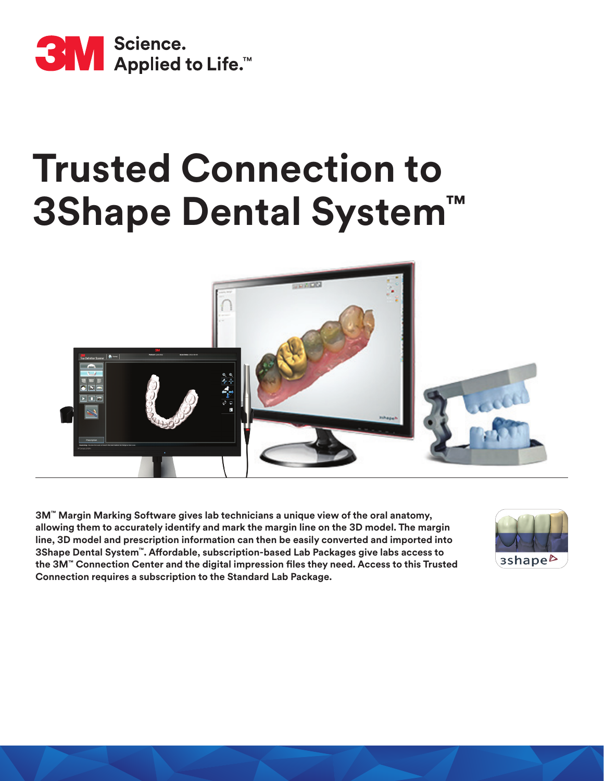

# **Trusted Connection to 3Shape Dental System™**



**3M™ Margin Marking Software gives lab technicians a unique view of the oral anatomy, allowing them to accurately identify and mark the margin line on the 3D model. The margin line, 3D model and prescription information can then be easily converted and imported into 3Shape Dental System™. Affordable, subscription-based Lab Packages give labs access to the 3M™ Connection Center and the digital impression files they need. Access to this Trusted Connection requires a subscription to the Standard Lab Package.**